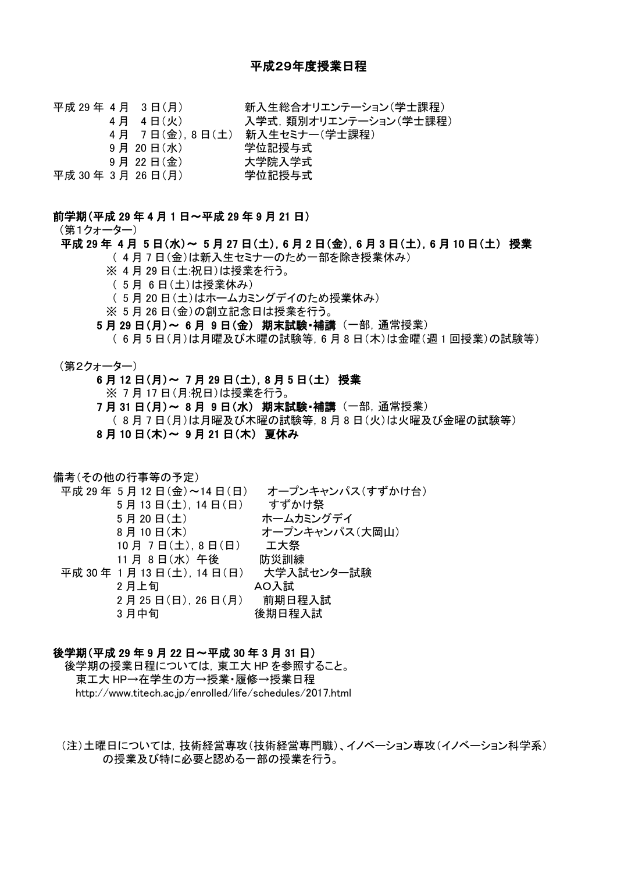平成 29 年 4 月 3 日(月) アンチンの主総合オリエンテーション(学士課程) 4 月 4 日(火) インスツンス学式, 類別オリエンテーション(学士課程) 4 月 7 日(金),8 日(土) 新入生セミナー(学士課程) 9 月 20 日(水) 学位記授与式 9 月 22 日(金) 大学院入学式 平成 30 年 3 月 26 日(月) 学位記授与式

#### 前学期(平成 29 年 4 月 1 日~平成 29 年 9 月 21 日)

(第1クォーター)

# 平成 29 年 4 月 5 日(水)~ 5 月 27 日(土), 6 月 2 日(金), 6 月 3 日(土), 6 月 10 日(土) 授業

( 4 月 7 日(金)は新入生セミナーのため一部を除き授業休み)

- ※ 4 月 29 日(土:祝日)は授業を行う。
- ( 5 月 6 日(土)は授業休み)
- ( 5 月 20 日(土)はホームカミングデイのため授業休み)
- ※ 5 月 26 日(金)の創立記念日は授業を行う。
- 5 月 29 日(月)~ 6 月 9 日(金) 期末試験・補講 (一部,通常授業)

( 6 月 5 日(月)は月曜及び木曜の試験等,6 月 8 日(木)は金曜(週 1 回授業)の試験等)

- (第2クォーター)
	- 6 月 12 日(月)~ 7 月 29 日(土),8 月 5 日(土) 授業

※ 7 月 17 日(月:祝日)は授業を行う。

7 月 31 日(月)~ 8 月 9 日(水) 期末試験・補講 (一部,通常授業)

- ( 8 月 7 日(月)は月曜及び木曜の試験等,8 月 8 日(火)は火曜及び金曜の試験等)
- 8 月 10 日(木)~ 9 月 21 日(木) 夏休み

備考(その他の行事等の予定)

平成 29 年 5 月 12 日(金)~14 日(日) オープンキャンパス(すずかけ台) 5 月 13 日(土),14 日(日) すずかけ祭 5 月 20 日(土) ホームカミングデイ 8月10日(木) オープンキャンパス(大岡山) 10 月 7 日(土),8 日(日) 工大祭 11 月 8 日(水) 午後 防災訓練 平成 30 年 1 月 13 日(土),14 日(日) 大学入試センター試験 2 月上旬 AO入試 2 月 25 日(日),26 日(月) 前期日程入試 3 月中旬 しんじん しゅうりょう 後期日程入試

#### 後学期(平成 29 年 9 月 22 日~平成 30 年 3 月 31 日)

後学期の授業日程については,東工大 HP を参照すること。 東工大 HP→在学生の方→授業・履修→授業日程 http://www.titech.ac.jp/enrolled/life/schedules/2017.html

(注)土曜日については,技術経営専攻(技術経営専門職)、イノベーション専攻(イノベーション科学系) の授業及び特に必要と認める一部の授業を行う。